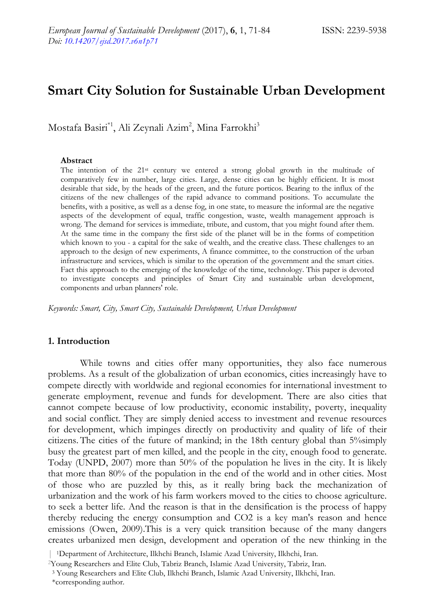# **Smart City Solution for Sustainable Urban Development**

Mostafa Basiri\*<sup>1</sup>, Ali Zeynali Azim<sup>2</sup>, Mina Farrokhi<sup>3</sup>

#### **Abstract**

The intention of the 21st century we entered a strong global growth in the multitude of comparatively few in number, large cities. Large, dense cities can be highly efficient. It is most desirable that side, by the heads of the green, and the future porticos. Bearing to the influx of the citizens of the new challenges of the rapid advance to command positions. To accumulate the benefits, with a positive, as well as a dense fog, in one state, to measure the informal are the negative aspects of the development of equal, traffic congestion, waste, wealth management approach is wrong. The demand for services is immediate, tribute, and custom, that you might found after them. At the same time in the company the first side of the planet will be in the forms of competition which known to you - a capital for the sake of wealth, and the creative class. These challenges to an approach to the design of new experiments, A finance committee, to the construction of the urban infrastructure and services, which is similar to the operation of the government and the smart cities. Fact this approach to the emerging of the knowledge of the time, technology. This paper is devoted to investigate concepts and principles of Smart City and sustainable urban development, components and urban planners' role.

*Keywords: Smart, City, Smart City, Sustainable Development, Urban Development* 

## **1. Introduction**

While towns and cities offer many opportunities, they also face numerous problems. As a result of the globalization of urban economics, cities increasingly have to compete directly with worldwide and regional economies for international investment to generate employment, revenue and funds for development. There are also cities that cannot compete because of low productivity, economic instability, poverty, inequality and social conflict. They are simply denied access to investment and revenue resources for development, which impinges directly on productivity and quality of life of their citizens. The cities of the future of mankind; in the 18th century global than 5%simply busy the greatest part of men killed, and the people in the city, enough food to generate. Today (UNPD, 2007) more than 50% of the population he lives in the city. It is likely that more than 80% of the population in the end of the world and in other cities. Most of those who are puzzled by this, as it really bring back the mechanization of urbanization and the work of his farm workers moved to the cities to choose agriculture. to seek a better life. And the reason is that in the densification is the process of happy thereby reducing the energy consumption and CO2 is a key man's reason and hence emissions (Owen, 2009).This is a very quick transition because of the many dangers creates urbanized men design, development and operation of the new thinking in the

<sup>| 1</sup>Department of Architecture, Ilkhchi Branch, Islamic Azad University, Ilkhchi, Iran. 2Young Researchers and Elite Club, Tabriz Branch, Islamic Azad University, Tabriz, Iran.

 <sup>3</sup> Young Researchers and Elite Club, Ilkhchi Branch, Islamic Azad University, Ilkhchi, Iran.

 <sup>\*</sup>corresponding author.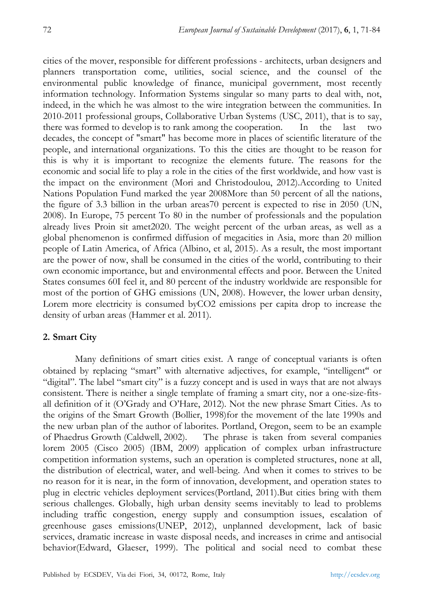cities of the mover, responsible for different professions - architects, urban designers and planners transportation come, utilities, social science, and the counsel of the environmental public knowledge of finance, municipal government, most recently information technology. Information Systems singular so many parts to deal with, not, indeed, in the which he was almost to the wire integration between the communities. In 2010-2011 professional groups, Collaborative Urban Systems (USC, 2011), that is to say, there was formed to develop is to rank among the cooperation. In the last two decades, the concept of "smart" has become more in places of scientific literature of the people, and international organizations. To this the cities are thought to be reason for this is why it is important to recognize the elements future. The reasons for the economic and social life to play a role in the cities of the first worldwide, and how vast is the impact on the environment (Mori and Christodoulou, 2012).According to United Nations Population Fund marked the year 2008More than 50 percent of all the nations, the figure of 3.3 billion in the urban areas70 percent is expected to rise in 2050 (UN, 2008). In Europe, 75 percent To 80 in the number of professionals and the population already lives Proin sit amet2020. The weight percent of the urban areas, as well as a global phenomenon is confirmed diffusion of megacities in Asia, more than 20 million people of Latin America, of Africa (Albino, et al, 2015). As a result, the most important are the power of now, shall be consumed in the cities of the world, contributing to their own economic importance, but and environmental effects and poor. Between the United States consumes 60I feel it, and 80 percent of the industry worldwide are responsible for most of the portion of GHG emissions (UN, 2008). However, the lower urban density, Lorem more electricity is consumed byCO2 emissions per capita drop to increase the density of urban areas (Hammer et al. 2011).

# **2. Smart City**

Many definitions of smart cities exist. A range of conceptual variants is often obtained by replacing "smart" with alternative adjectives, for example, "intelligent" or "digital". The label "smart city" is a fuzzy concept and is used in ways that are not always consistent. There is neither a single template of framing a smart city, nor a one-size-fitsall definition of it (O'Grady and O'Hare, 2012). Not the new phrase Smart Cities. As to the origins of the Smart Growth (Bollier, 1998)for the movement of the late 1990s and the new urban plan of the author of laborites. Portland, Oregon, seem to be an example of Phaedrus Growth (Caldwell, 2002). The phrase is taken from several companies lorem 2005 (Cisco 2005) (IBM, 2009) application of complex urban infrastructure competition information systems, such an operation is completed structures, none at all, the distribution of electrical, water, and well-being. And when it comes to strives to be no reason for it is near, in the form of innovation, development, and operation states to plug in electric vehicles deployment services(Portland, 2011).But cities bring with them serious challenges. Globally, high urban density seems inevitably to lead to problems including traffic congestion, energy supply and consumption issues, escalation of greenhouse gases emissions(UNEP, 2012), unplanned development, lack of basic services, dramatic increase in waste disposal needs, and increases in crime and antisocial behavior(Edward, Glaeser, 1999). The political and social need to combat these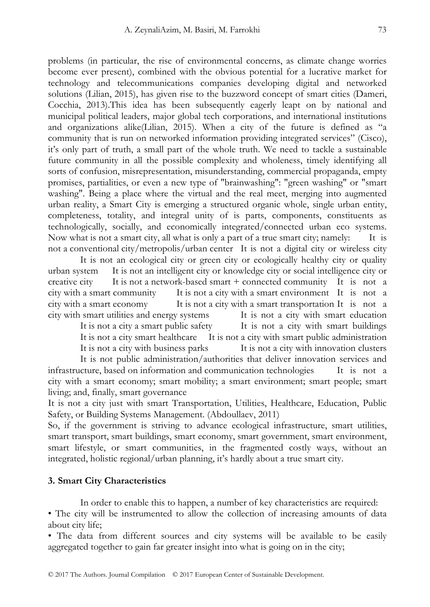problems (in particular, the rise of environmental concerns, as climate change worries become ever present), combined with the obvious potential for a lucrative market for technology and telecommunications companies developing digital and networked solutions (Lilian, 2015), has given rise to the buzzword concept of smart cities (Dameri, Cocchia, 2013).This idea has been subsequently eagerly leapt on by national and municipal political leaders, major global tech corporations, and international institutions and organizations alike(Lilian, 2015). When a city of the future is defined as "a community that is run on networked information providing integrated services" (Cisco), it's only part of truth, a small part of the whole truth. We need to tackle a sustainable future community in all the possible complexity and wholeness, timely identifying all sorts of confusion, misrepresentation, misunderstanding, commercial propaganda, empty promises, partialities, or even a new type of "brainwashing": "green washing" or "smart washing". Being a place where the virtual and the real meet, merging into augmented urban reality, a Smart City is emerging a structured organic whole, single urban entity, completeness, totality, and integral unity of is parts, components, constituents as technologically, socially, and economically integrated/connected urban eco systems. Now what is not a smart city, all what is only a part of a true smart city; namely: It is not a conventional city/metropolis/urban center It is not a digital city or wireless city

 It is not an ecological city or green city or ecologically healthy city or quality urban system It is not an intelligent city or knowledge city or social intelligence city or creative city It is not a network-based smart + connected community It is not a city with a smart community It is not a city with a smart environment It is not a city with a smart economy It is not a city with a smart transportation It is not a city with smart utilities and energy systems It is not a city with smart education

It is not a city a smart public safety It is not a city with smart buildings It is not a city smart healthcare It is not a city with smart public administration It is not a city with business parks It is not a city with innovation clusters

 It is not public administration/authorities that deliver innovation services and infrastructure, based on information and communication technologies It is not a city with a smart economy; smart mobility; a smart environment; smart people; smart living; and, finally, smart governance

It is not a city just with smart Transportation, Utilities, Healthcare, Education, Public Safety, or Building Systems Management. (Abdoullaev, 2011)

So, if the government is striving to advance ecological infrastructure, smart utilities, smart transport, smart buildings, smart economy, smart government, smart environment, smart lifestyle, or smart communities, in the fragmented costly ways, without an integrated, holistic regional/urban planning, it's hardly about a true smart city.

#### **3. Smart City Characteristics**

In order to enable this to happen, a number of key characteristics are required:

• The city will be instrumented to allow the collection of increasing amounts of data about city life;

• The data from different sources and city systems will be available to be easily aggregated together to gain far greater insight into what is going on in the city;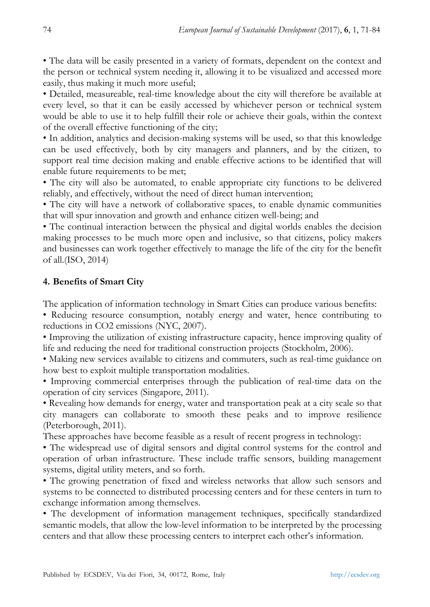• The data will be easily presented in a variety of formats, dependent on the context and the person or technical system needing it, allowing it to be visualized and accessed more easily, thus making it much more useful;

• Detailed, measureable, real-time knowledge about the city will therefore be available at every level, so that it can be easily accessed by whichever person or technical system would be able to use it to help fulfill their role or achieve their goals, within the context of the overall effective functioning of the city;

• In addition, analytics and decision-making systems will be used, so that this knowledge can be used effectively, both by city managers and planners, and by the citizen, to support real time decision making and enable effective actions to be identified that will enable future requirements to be met;

• The city will also be automated, to enable appropriate city functions to be delivered reliably, and effectively, without the need of direct human intervention;

• The city will have a network of collaborative spaces, to enable dynamic communities that will spur innovation and growth and enhance citizen well-being; and

• The continual interaction between the physical and digital worlds enables the decision making processes to be much more open and inclusive, so that citizens, policy makers and businesses can work together effectively to manage the life of the city for the benefit of all.(ISO, 2014)

# **4. Benefits of Smart City**

The application of information technology in Smart Cities can produce various benefits:

• Reducing resource consumption, notably energy and water, hence contributing to reductions in CO2 emissions (NYC, 2007).

• Improving the utilization of existing infrastructure capacity, hence improving quality of life and reducing the need for traditional construction projects (Stockholm, 2006).

• Making new services available to citizens and commuters, such as real-time guidance on how best to exploit multiple transportation modalities.

• Improving commercial enterprises through the publication of real-time data on the operation of city services (Singapore, 2011).

• Revealing how demands for energy, water and transportation peak at a city scale so that city managers can collaborate to smooth these peaks and to improve resilience (Peterborough, 2011).

These approaches have become feasible as a result of recent progress in technology:

• The widespread use of digital sensors and digital control systems for the control and operation of urban infrastructure. These include traffic sensors, building management systems, digital utility meters, and so forth.

• The growing penetration of fixed and wireless networks that allow such sensors and systems to be connected to distributed processing centers and for these centers in turn to exchange information among themselves.

• The development of information management techniques, specifically standardized semantic models, that allow the low-level information to be interpreted by the processing centers and that allow these processing centers to interpret each other's information.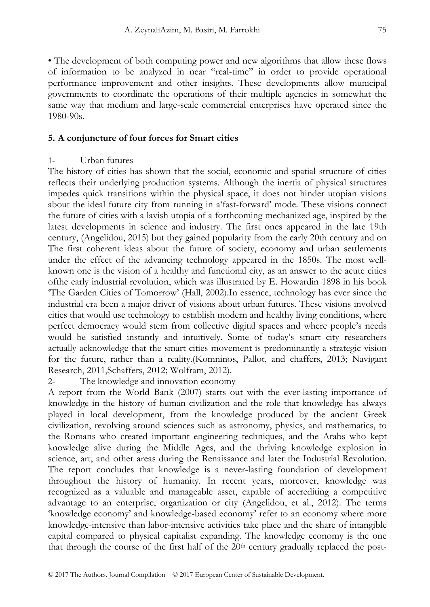• The development of both computing power and new algorithms that allow these flows of information to be analyzed in near "real-time" in order to provide operational performance improvement and other insights. These developments allow municipal governments to coordinate the operations of their multiple agencies in somewhat the same way that medium and large-scale commercial enterprises have operated since the 1980-90s.

# **5. A conjuncture of four forces for Smart cities**

# 1- Urban futures

The history of cities has shown that the social, economic and spatial structure of cities reflects their underlying production systems. Although the inertia of physical structures impedes quick transitions within the physical space, it does not hinder utopian visions about the ideal future city from running in a'fast-forward' mode. These visions connect the future of cities with a lavish utopia of a forthcoming mechanized age, inspired by the latest developments in science and industry. The first ones appeared in the late 19th century, (Angelidou, 2015) but they gained popularity from the early 20th century and on The first coherent ideas about the future of society, economy and urban settlements under the effect of the advancing technology appeared in the 1850s. The most wellknown one is the vision of a healthy and functional city, as an answer to the acute cities ofthe early industrial revolution, which was illustrated by E. Howardin 1898 in his book 'The Garden Cities of Tomorrow' (Hall, 2002).In essence, technology has ever since the industrial era been a major driver of visions about urban futures. These visions involved cities that would use technology to establish modern and healthy living conditions, where perfect democracy would stem from collective digital spaces and where people's needs would be satisfied instantly and intuitively. Some of today's smart city researchers actually acknowledge that the smart cities movement is predominantly a strategic vision for the future, rather than a reality.(Komninos, Pallot, and chaffers, 2013; Navigant Research, 2011,Schaffers, 2012; Wolfram, 2012).

2- The knowledge and innovation economy

A report from the World Bank (2007) starts out with the ever-lasting importance of knowledge in the history of human civilization and the role that knowledge has always played in local development, from the knowledge produced by the ancient Greek civilization, revolving around sciences such as astronomy, physics, and mathematics, to the Romans who created important engineering techniques, and the Arabs who kept knowledge alive during the Middle Ages, and the thriving knowledge explosion in science, art, and other areas during the Renaissance and later the Industrial Revolution. The report concludes that knowledge is a never-lasting foundation of development throughout the history of humanity. In recent years, moreover, knowledge was recognized as a valuable and manageable asset, capable of accrediting a competitive advantage to an enterprise, organization or city (Angelidou, et al., 2012). The terms 'knowledge economy' and knowledge-based economy' refer to an economy where more knowledge-intensive than labor-intensive activities take place and the share of intangible capital compared to physical capitalist expanding. The knowledge economy is the one that through the course of the first half of the  $20<sup>th</sup>$  century gradually replaced the post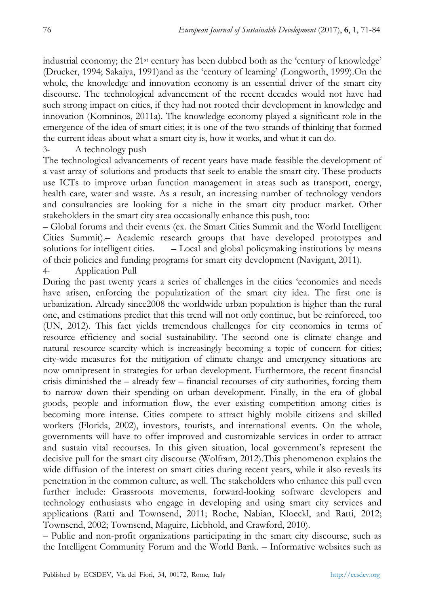industrial economy; the 21st century has been dubbed both as the 'century of knowledge' (Drucker, 1994; Sakaiya, 1991)and as the 'century of learning' (Longworth, 1999).On the whole, the knowledge and innovation economy is an essential driver of the smart city discourse. The technological advancement of the recent decades would not have had such strong impact on cities, if they had not rooted their development in knowledge and innovation (Komninos, 2011a). The knowledge economy played a significant role in the emergence of the idea of smart cities; it is one of the two strands of thinking that formed the current ideas about what a smart city is, how it works, and what it can do.

3- A technology push

The technological advancements of recent years have made feasible the development of a vast array of solutions and products that seek to enable the smart city. These products use ICTs to improve urban function management in areas such as transport, energy, health care, water and waste. As a result, an increasing number of technology vendors and consultancies are looking for a niche in the smart city product market. Other stakeholders in the smart city area occasionally enhance this push, too:

– Global forums and their events (ex. the Smart Cities Summit and the World Intelligent Cities Summit).– Academic research groups that have developed prototypes and solutions for intelligent cities. – Local and global policymaking institutions by means of their policies and funding programs for smart city development (Navigant, 2011).

4- Application Pull

During the past twenty years a series of challenges in the cities 'economies and needs have arisen, enforcing the popularization of the smart city idea. The first one is urbanization. Already since2008 the worldwide urban population is higher than the rural one, and estimations predict that this trend will not only continue, but be reinforced, too (UN, 2012). This fact yields tremendous challenges for city economies in terms of resource efficiency and social sustainability. The second one is climate change and natural resource scarcity which is increasingly becoming a topic of concern for cities; city-wide measures for the mitigation of climate change and emergency situations are now omnipresent in strategies for urban development. Furthermore, the recent financial crisis diminished the – already few – financial recourses of city authorities, forcing them to narrow down their spending on urban development. Finally, in the era of global goods, people and information flow, the ever existing competition among cities is becoming more intense. Cities compete to attract highly mobile citizens and skilled workers (Florida, 2002), investors, tourists, and international events. On the whole, governments will have to offer improved and customizable services in order to attract and sustain vital recourses. In this given situation, local government's represent the decisive pull for the smart city discourse (Wolfram, 2012).This phenomenon explains the wide diffusion of the interest on smart cities during recent years, while it also reveals its penetration in the common culture, as well. The stakeholders who enhance this pull even further include: Grassroots movements, forward-looking software developers and technology enthusiasts who engage in developing and using smart city services and applications (Ratti and Townsend, 2011; Roche, Nabian, Kloeckl, and Ratti, 2012; Townsend, 2002; Townsend, Maguire, Liebhold, and Crawford, 2010).

– Public and non-profit organizations participating in the smart city discourse, such as the Intelligent Community Forum and the World Bank. – Informative websites such as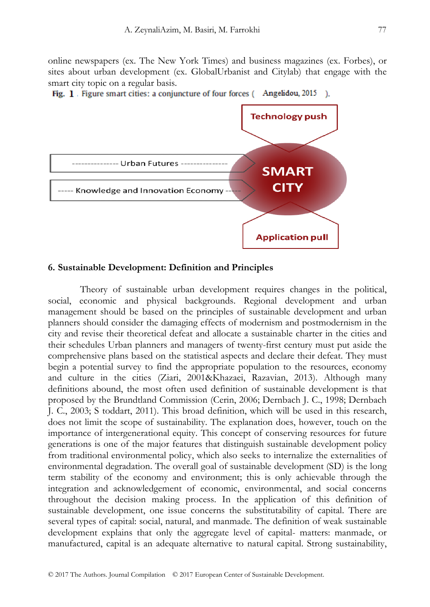online newspapers (ex. The New York Times) and business magazines (ex. Forbes), or sites about urban development (ex. GlobalUrbanist and Citylab) that engage with the smart city topic on a regular basis.





#### **6. Sustainable Development: Definition and Principles**

Theory of sustainable urban development requires changes in the political, social, economic and physical backgrounds. Regional development and urban management should be based on the principles of sustainable development and urban planners should consider the damaging effects of modernism and postmodernism in the city and revise their theoretical defeat and allocate a sustainable charter in the cities and their schedules Urban planners and managers of twenty-first century must put aside the comprehensive plans based on the statistical aspects and declare their defeat. They must begin a potential survey to find the appropriate population to the resources, economy and culture in the cities (Ziari, 2001&Khazaei, Razavian, 2013). Although many definitions abound, the most often used definition of sustainable development is that proposed by the Brundtland Commission (Cerin, 2006; Dernbach J. C., 1998; Dernbach J. C., 2003; S toddart, 2011). This broad definition, which will be used in this research, does not limit the scope of sustainability. The explanation does, however, touch on the importance of intergenerational equity. This concept of conserving resources for future generations is one of the major features that distinguish sustainable development policy from traditional environmental policy, which also seeks to internalize the externalities of environmental degradation. The overall goal of sustainable development (SD) is the long term stability of the economy and environment; this is only achievable through the integration and acknowledgement of economic, environmental, and social concerns throughout the decision making process. In the application of this definition of sustainable development, one issue concerns the substitutability of capital. There are several types of capital: social, natural, and manmade. The definition of weak sustainable development explains that only the aggregate level of capital- matters: manmade, or manufactured, capital is an adequate alternative to natural capital. Strong sustainability,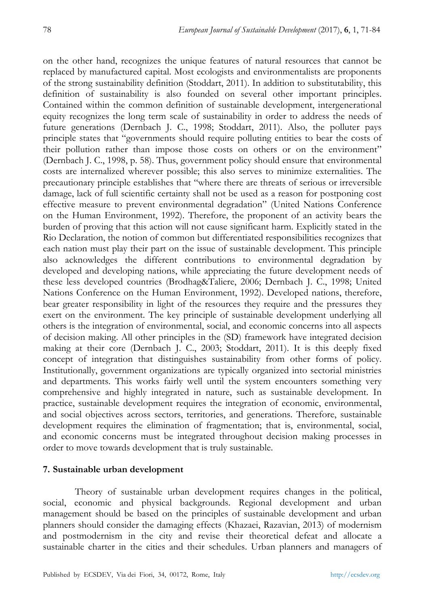on the other hand, recognizes the unique features of natural resources that cannot be replaced by manufactured capital. Most ecologists and environmentalists are proponents of the strong sustainability definition (Stoddart, 2011). In addition to substitutability, this definition of sustainability is also founded on several other important principles. Contained within the common definition of sustainable development, intergenerational equity recognizes the long term scale of sustainability in order to address the needs of future generations (Dernbach J. C., 1998; Stoddart, 2011). Also, the polluter pays principle states that "governments should require polluting entities to bear the costs of their pollution rather than impose those costs on others or on the environment" (Dernbach J. C., 1998, p. 58). Thus, government policy should ensure that environmental costs are internalized wherever possible; this also serves to minimize externalities. The precautionary principle establishes that "where there are threats of serious or irreversible damage, lack of full scientific certainty shall not be used as a reason for postponing cost effective measure to prevent environmental degradation" (United Nations Conference on the Human Environment, 1992). Therefore, the proponent of an activity bears the burden of proving that this action will not cause significant harm. Explicitly stated in the Rio Declaration, the notion of common but differentiated responsibilities recognizes that each nation must play their part on the issue of sustainable development. This principle also acknowledges the different contributions to environmental degradation by developed and developing nations, while appreciating the future development needs of these less developed countries (Brodhag&Taliere, 2006; Dernbach J. C., 1998; United Nations Conference on the Human Environment, 1992). Developed nations, therefore, bear greater responsibility in light of the resources they require and the pressures they exert on the environment. The key principle of sustainable development underlying all others is the integration of environmental, social, and economic concerns into all aspects of decision making. All other principles in the (SD) framework have integrated decision making at their core (Dernbach J. C., 2003; Stoddart, 2011). It is this deeply fixed concept of integration that distinguishes sustainability from other forms of policy. Institutionally, government organizations are typically organized into sectorial ministries and departments. This works fairly well until the system encounters something very comprehensive and highly integrated in nature, such as sustainable development. In practice, sustainable development requires the integration of economic, environmental, and social objectives across sectors, territories, and generations. Therefore, sustainable development requires the elimination of fragmentation; that is, environmental, social, and economic concerns must be integrated throughout decision making processes in order to move towards development that is truly sustainable.

#### **7. Sustainable urban development**

Theory of sustainable urban development requires changes in the political, social, economic and physical backgrounds. Regional development and urban management should be based on the principles of sustainable development and urban planners should consider the damaging effects (Khazaei, Razavian, 2013) of modernism and postmodernism in the city and revise their theoretical defeat and allocate a sustainable charter in the cities and their schedules. Urban planners and managers of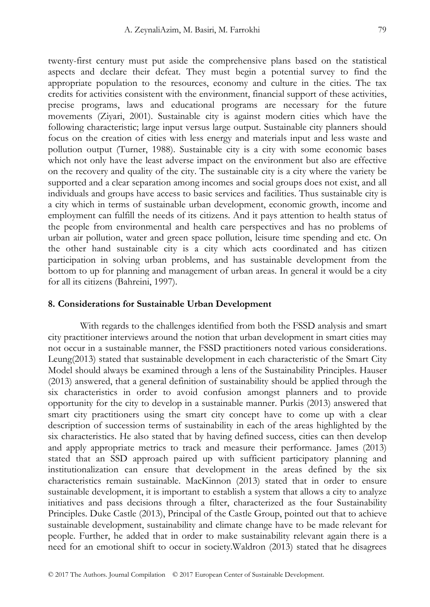twenty-first century must put aside the comprehensive plans based on the statistical aspects and declare their defeat. They must begin a potential survey to find the appropriate population to the resources, economy and culture in the cities. The tax credits for activities consistent with the environment, financial support of these activities, precise programs, laws and educational programs are necessary for the future movements (Ziyari, 2001). Sustainable city is against modern cities which have the following characteristic; large input versus large output. Sustainable city planners should focus on the creation of cities with less energy and materials input and less waste and pollution output (Turner, 1988). Sustainable city is a city with some economic bases which not only have the least adverse impact on the environment but also are effective on the recovery and quality of the city. The sustainable city is a city where the variety be supported and a clear separation among incomes and social groups does not exist, and all individuals and groups have access to basic services and facilities. Thus sustainable city is a city which in terms of sustainable urban development, economic growth, income and employment can fulfill the needs of its citizens. And it pays attention to health status of the people from environmental and health care perspectives and has no problems of urban air pollution, water and green space pollution, leisure time spending and etc. On the other hand sustainable city is a city which acts coordinated and has citizen participation in solving urban problems, and has sustainable development from the bottom to up for planning and management of urban areas. In general it would be a city for all its citizens (Bahreini, 1997).

#### **8. Considerations for Sustainable Urban Development**

With regards to the challenges identified from both the FSSD analysis and smart city practitioner interviews around the notion that urban development in smart cities may not occur in a sustainable manner, the FSSD practitioners noted various considerations. Leung(2013) stated that sustainable development in each characteristic of the Smart City Model should always be examined through a lens of the Sustainability Principles. Hauser (2013) answered, that a general definition of sustainability should be applied through the six characteristics in order to avoid confusion amongst planners and to provide opportunity for the city to develop in a sustainable manner. Purkis (2013) answered that smart city practitioners using the smart city concept have to come up with a clear description of succession terms of sustainability in each of the areas highlighted by the six characteristics. He also stated that by having defined success, cities can then develop and apply appropriate metrics to track and measure their performance. James (2013) stated that an SSD approach paired up with sufficient participatory planning and institutionalization can ensure that development in the areas defined by the six characteristics remain sustainable. MacKinnon (2013) stated that in order to ensure sustainable development, it is important to establish a system that allows a city to analyze initiatives and pass decisions through a filter, characterized as the four Sustainability Principles. Duke Castle (2013), Principal of the Castle Group, pointed out that to achieve sustainable development, sustainability and climate change have to be made relevant for people. Further, he added that in order to make sustainability relevant again there is a need for an emotional shift to occur in society.Waldron (2013) stated that he disagrees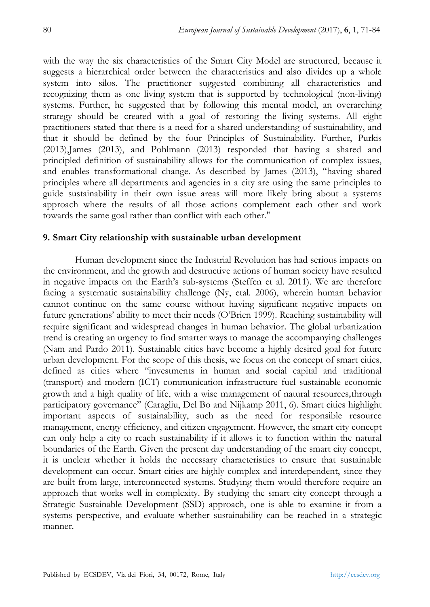with the way the six characteristics of the Smart City Model are structured, because it suggests a hierarchical order between the characteristics and also divides up a whole system into silos. The practitioner suggested combining all characteristics and recognizing them as one living system that is supported by technological (non-living) systems. Further, he suggested that by following this mental model, an overarching strategy should be created with a goal of restoring the living systems. All eight practitioners stated that there is a need for a shared understanding of sustainability, and that it should be defined by the four Principles of Sustainability. Further, Purkis (2013),James (2013), and Pohlmann (2013) responded that having a shared and principled definition of sustainability allows for the communication of complex issues, and enables transformational change. As described by James (2013), "having shared principles where all departments and agencies in a city are using the same principles to guide sustainability in their own issue areas will more likely bring about a systems approach where the results of all those actions complement each other and work towards the same goal rather than conflict with each other."

# **9. Smart City relationship with sustainable urban development**

Human development since the Industrial Revolution has had serious impacts on the environment, and the growth and destructive actions of human society have resulted in negative impacts on the Earth's sub-systems (Steffen et al. 2011). We are therefore facing a systematic sustainability challenge (Ny, etal. 2006), wherein human behavior cannot continue on the same course without having significant negative impacts on future generations' ability to meet their needs (O'Brien 1999). Reaching sustainability will require significant and widespread changes in human behavior. The global urbanization trend is creating an urgency to find smarter ways to manage the accompanying challenges (Nam and Pardo 2011). Sustainable cities have become a highly desired goal for future urban development. For the scope of this thesis, we focus on the concept of smart cities, defined as cities where "investments in human and social capital and traditional (transport) and modern (ICT) communication infrastructure fuel sustainable economic growth and a high quality of life, with a wise management of natural resources,through participatory governance" (Caragliu, Del Bo and Nijkamp 2011, 6). Smart cities highlight important aspects of sustainability, such as the need for responsible resource management, energy efficiency, and citizen engagement. However, the smart city concept can only help a city to reach sustainability if it allows it to function within the natural boundaries of the Earth. Given the present day understanding of the smart city concept, it is unclear whether it holds the necessary characteristics to ensure that sustainable development can occur. Smart cities are highly complex and interdependent, since they are built from large, interconnected systems. Studying them would therefore require an approach that works well in complexity. By studying the smart city concept through a Strategic Sustainable Development (SSD) approach, one is able to examine it from a systems perspective, and evaluate whether sustainability can be reached in a strategic manner.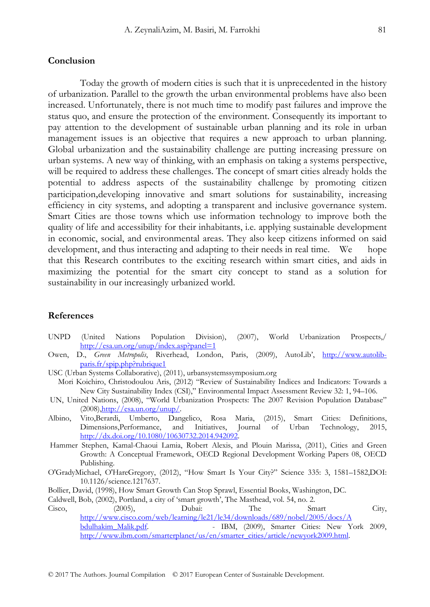#### **Conclusion**

Today the growth of modern cities is such that it is unprecedented in the history of urbanization. Parallel to the growth the urban environmental problems have also been increased. Unfortunately, there is not much time to modify past failures and improve the status quo, and ensure the protection of the environment. Consequently its important to pay attention to the development of sustainable urban planning and its role in urban management issues is an objective that requires a new approach to urban planning. Global urbanization and the sustainability challenge are putting increasing pressure on urban systems. A new way of thinking, with an emphasis on taking a systems perspective, will be required to address these challenges. The concept of smart cities already holds the potential to address aspects of the sustainability challenge by promoting citizen participation,developing innovative and smart solutions for sustainability, increasing efficiency in city systems, and adopting a transparent and inclusive governance system. Smart Cities are those towns which use information technology to improve both the quality of life and accessibility for their inhabitants, i.e. applying sustainable development in economic, social, and environmental areas. They also keep citizens informed on said development, and thus interacting and adapting to their needs in real time. We hope that this Research contributes to the exciting research within smart cities, and aids in maximizing the potential for the smart city concept to stand as a solution for sustainability in our increasingly urbanized world.

## **References**

- UNPD (United Nations Population Division), (2007), World Urbanization Prospects,/ http://esa.un.org/unup/index.asp?panel=1
- Owen, D., *Green Metropolis*, Riverhead, London, Paris, (2009), AutoLib', http://www.autolibparis.fr/spip.php?rubrique1
- USC (Urban Systems Collaborative), (2011), urbansystemssymposium.org
- Mori Koichiro, Christodoulou Aris, (2012) "Review of Sustainability Indices and Indicators: Towards a New City Sustainability Index (CSI)," Environmental Impact Assessment Review 32: 1, 94–106.
- UN, United Nations, (2008), "World Urbanization Prospects: The 2007 Revision Population Database" (2008),http://esa.un.org/unup/.
- Albino, Vito,Berardi, Umberto, Dangelico, Rosa Maria, (2015), Smart Cities: Definitions, Dimensions,Performance, and Initiatives, Journal of Urban Technology, 2015, http://dx.doi.org/10.1080/10630732.2014.942092.
- Hammer Stephen, Kamal-Chaoui Lamia, Robert Alexis, and Plouin Marissa, (2011), Cities and Green Growth: A Conceptual Framework, OECD Regional Development Working Papers 08, OECD Publishing.
- O'GradyMichael, O'HareGregory, (2012), "How Smart Is Your City?" Science 335: 3, 1581–1582,DOI: 10.1126/science.1217637.
- Bollier, David, (1998), How Smart Growth Can Stop Sprawl, Essential Books, Washington, DC.
- Caldwell, Bob, (2002), Portland, a city of 'smart growth', The Masthead, vol. 54, no. 2.

Cisco, (2005), Dubai: The Smart City, http://www.cisco.com/web/learning/le21/le34/downloads/689/nobel/2005/docs/A bdulhakim\_Malik.pdf. - IBM, (2009), Smarter Cities: New York 2009, http://www.ibm.com/smarterplanet/us/en/smarter\_cities/article/newyork2009.html.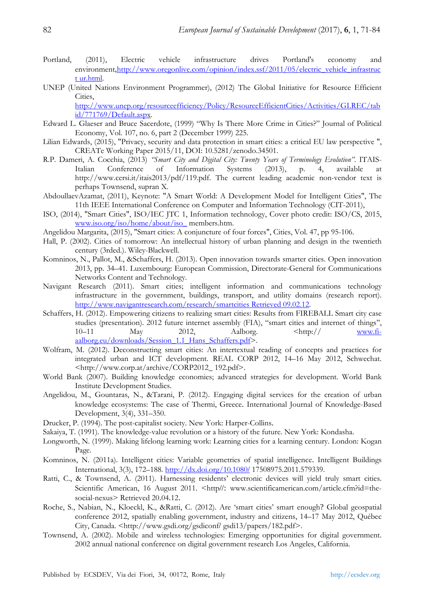- Portland, (2011), Electric vehicle infrastructure drives Portland's economy and environment,http://www.oregonlive.com/opinion/index.ssf/2011/05/electric\_vehicle\_infrastruc t ur.html.
- UNEP (United Nations Environment Programmer), (2012) The Global Initiative for Resource Efficient Cities,

http://www.unep.org/resourceefficiency/Policy/ResourceEfficientCities/Activities/GI.REC/tab id/771769/Default.aspx.

- Edward L. Glaeser and Bruce Sacerdote, (1999) "Why Is There More Crime in Cities?" Journal of Political Economy, Vol. 107, no. 6, part 2 (December 1999) 225.
- Lilian Edwards, (2015), "Privacy, security and data protection in smart cities: a critical EU law perspective ", CREATe Working Paper 2015/11, DOI: 10.5281/zenodo.34501.
- R.P. Dameri, A. Cocchia, (2013) *"Smart City and Digital City: Twenty Years of Terminology Evolution"*. ITAIS-Italian Conference of Information Systems (2013), p. 4, available at http://www.cersi.it/itais2013/pdf/119.pdf. The current leading academic non-vendor text is perhaps Townsend, supran X.
- AbdoullaevAzamat, (2011), Keynote: "A Smart World: A Development Model for Intelligent Cities", The 11th IEEE International Conference on Computer and Information Technology (CIT-2011),
- ISO, (2014), "Smart Cities", ISO/IEC JTC 1, Information technology, Cover photo credit: ISO/CS, 2015, www.iso.org/iso/home/about/iso\_ members.htm.
- Angelidou Margarita, (2015), "Smart cities: A conjuncture of four forces", Cities, Vol. 47, pp 95-106.
- Hall, P. (2002). Cities of tomorrow: An intellectual history of urban planning and design in the twentieth century (3rded.). Wiley-Blackwell.
- Komninos, N., Pallot, M., &Schaffers, H. (2013). Open innovation towards smarter cities. Open innovation 2013, pp. 34–41. Luxembourg: European Commission, Directorate-General for Communications Networks Content and Technology.
- Navigant Research (2011). Smart cities; intelligent information and communications technology infrastructure in the government, buildings, transport, and utility domains (research report). http://www.navigantresearch.com/research/smartcities Retrieved 09.02.12.
- Schaffers, H. (2012). Empowering citizens to realizing smart cities: Results from FIREBALL Smart city case studies (presentation). 2012 future internet assembly (FIA), ''smart cities and internet of things'', 10–11 May 2012, Aalborg.  $\langle \text{http://www.fi-10} \rangle$ aalborg.eu/downloads/Session\_1.1\_Hans\_Schaffers.pdf>.
- Wolfram, M. (2012). Deconstructing smart cities: An intertextual reading of concepts and practices for integrated urban and ICT development. REAL CORP 2012, 14–16 May 2012, Schwechat. <http://www.corp.at/archive/CORP2012\_ 192.pdf>.
- World Bank (2007). Building knowledge economies; advanced strategies for development. World Bank Institute Development Studies.
- Angelidou, M., Gountaras, N., &Tarani, P. (2012). Engaging digital services for the creation of urban knowledge ecosystems: The case of Thermi, Greece. International Journal of Knowledge-Based Development, 3(4), 331–350.
- Drucker, P. (1994). The post-capitalist society. New York: Harper-Collins.
- Sakaiya, T. (1991). The knowledge-value revolution or a history of the future. New York: Kondasha.
- Longworth, N. (1999). Making lifelong learning work: Learning cities for a learning century. London: Kogan Page.
- Komninos, N. (2011a). Intelligent cities: Variable geometries of spatial intelligence. Intelligent Buildings International, 3(3), 172–188. http://dx.doi.org/10.1080/ 17508975.2011.579339.
- Ratti, C., & Townsend, A. (2011). Harnessing residents' electronic devices will yield truly smart cities. Scientific American, 16 August 2011. <http//: www.scientificamerican.com/article.cfm?id=thesocial-nexus> Retrieved 20.04.12.
- Roche, S., Nabian, N., Kloeckl, K., &Ratti, C. (2012). Are 'smart cities' smart enough? Global geospatial conference 2012, spatially enabling government, industry and citizens, 14–17 May 2012, Québec City, Canada. <http://www.gsdi.org/gsdiconf/ gsdi13/papers/182.pdf>.
- Townsend, A. (2002). Mobile and wireless technologies: Emerging opportunities for digital government. 2002 annual national conference on digital government research Los Angeles, California.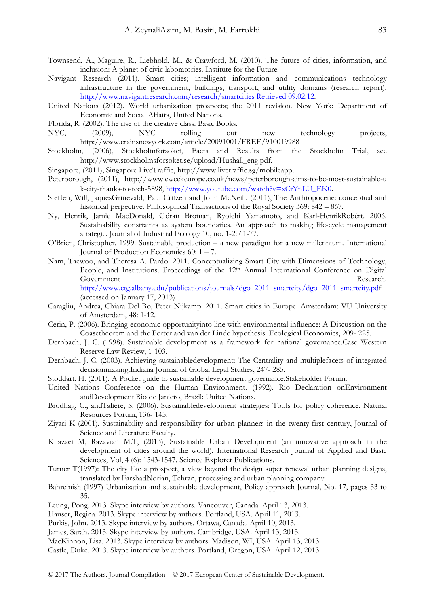- Townsend, A., Maguire, R., Liebhold, M., & Crawford, M. (2010). The future of cities, information, and inclusion: A planet of civic laboratories. Institute for the Future.
- Navigant Research (2011). Smart cities; intelligent information and communications technology infrastructure in the government, buildings, transport, and utility domains (research report). http://www.navigantresearch.com/research/smartcities Retrieved 09.02.12.
- United Nations (2012). World urbanization prospects; the 2011 revision. New York: Department of Economic and Social Affairs, United Nations.
- Florida, R. (2002). The rise of the creative class. Basic Books.
- NYC, (2009), NYC rolling out new technology projects, http://www.crainsnewyork.com/article/20091001/FREE/910019988
- Stockholm, (2006), Stockholmforsoket, Facts and Results from the Stockholm Trial, see http://www.stockholmsforsoket.se/upload/Hushall\_eng.pdf.
- Singapore, (2011), Singapore LiveTraffic, http://www.livetraffic.sg/mobileapp.
- Peterborough, (2011), http://www.eweekeurope.co.uk/news/peterborough-aims-to-be-most-sustainable-u k-city-thanks-to-tech-5898, http://www.youtube.com/watch?v=xCrYnLU\_EK0.
- Steffen, Will, JaquesGrinevald, Paul Critzen and John McNeill. (2011), The Anthropocene: conceptual and historical perpective. Philosophical Transactions of the Royal Society 369: 842 – 867.
- Ny, Henrik, Jamie MacDonald, Göran Broman, Ryoichi Yamamoto, and Karl-HenrikRobèrt. 2006. Sustainability constraints as system boundaries. An approach to making life-cycle management strategic. Journal of Industrial Ecology 10, no. 1-2: 61-77.
- O'Brien, Christopher. 1999. Sustainable production a new paradigm for a new millennium. International Journal of Production Economics 60: 1 – 7.
- Nam, Taewoo, and Theresa A. Pardo. 2011. Conceptualizing Smart City with Dimensions of Technology, People, and Institutions. Proceedings of the 12<sup>th</sup> Annual International Conference on Digital Government Research. http://www.ctg.albany.edu/publications/journals/dgo\_2011\_smartcity/dgo\_2011\_smartcity.pdf

(accessed on January 17, 2013).

- Caragliu, Andrea, Chiara Del Bo, Peter Nijkamp. 2011. Smart cities in Europe. Amsterdam: VU University of Amsterdam, 48: 1-12.
- Cerin, P. (2006). Bringing economic opportunityinto line with environmental influence: A Discussion on the Coasetheorem and the Porter and van der Linde hypothesis. Ecological Economics, 209- 225.
- Dernbach, J. C. (1998). Sustainable development as a framework for national governance.Case Western Reserve Law Review, 1-103.
- Dernbach, J. C. (2003). Achieving sustainabledevelopment: The Centrality and multiplefacets of integrated decisionmaking.Indiana Journal of Global Legal Studies, 247- 285.
- Stoddart, H. (2011). A Pocket guide to sustainable development governance.Stakeholder Forum.
- United Nations Conference on the Human Environment. (1992). Rio Declaration onEnvironment andDevelopment.Rio de Janiero, Brazil: United Nations.
- Brodhag, C., andTaliere, S. (2006). Sustainabledevelopment strategies: Tools for policy coherence. Natural Resources Forum, 136- 145.
- Ziyari K (2001), Sustainability and responsibility for urban planners in the twenty-first century, Journal of Science and Literature Faculty.
- Khazaei M, Razavian M.T, (2013), Sustainable Urban Development (an innovative approach in the development of cities around the world), International Research Journal of Applied and Basic Sciences, Vol, 4 (6): 1543-1547. Science Explorer Publications.
- Turner T(1997): The city like a prospect, a view beyond the design super renewal urban planning designs, translated by FarshadNorian, Tehran, processing and urban planning company.
- Bahreinish (1997) Urbanization and sustainable development, Policy approach Journal, No. 17, pages 33 to 35.
- Leung, Pong. 2013. Skype interview by authors. Vancouver, Canada. April 13, 2013.
- Hauser, Regina. 2013. Skype interview by authors. Portland, USA. April 11, 2013.
- Purkis, John. 2013. Skype interview by authors. Ottawa, Canada. April 10, 2013.
- James, Sarah. 2013. Skype interview by authors. Cambridge, USA. April 13, 2013.

MacKinnon, Lisa. 2013. Skype interview by authors. Madison, WI, USA. April 13, 2013.

Castle, Duke. 2013. Skype interview by authors. Portland, Oregon, USA. April 12, 2013.